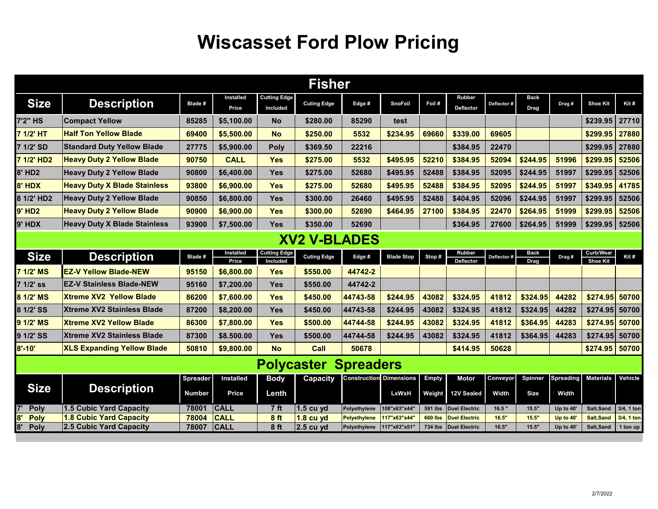## **Wiscasset Ford Plow Pricing**

|                                 |                                                           |                |                           |                                 | <b>Fisher</b>               |                                     |                              |                                  |                                              |                |                     |                               |                                     |                        |
|---------------------------------|-----------------------------------------------------------|----------------|---------------------------|---------------------------------|-----------------------------|-------------------------------------|------------------------------|----------------------------------|----------------------------------------------|----------------|---------------------|-------------------------------|-------------------------------------|------------------------|
| <b>Size</b>                     | <b>Description</b>                                        | Blade #        | <b>Installed</b><br>Price | <b>Cutting Edge</b><br>Included | <b>Cuting Edge</b>          | Edge #                              | <b>SnoFoil</b>               | Foil#                            | Rubber<br><b>Deflector</b>                   | Deflector#     | <b>Back</b><br>Drag | Drag#                         | <b>Shoe Kit</b>                     | Kit#                   |
| 7'2" HS                         | <b>Compact Yellow</b>                                     | 85285          | \$5,100.00                | <b>No</b>                       | \$280.00                    | 85290                               | test                         |                                  |                                              |                |                     |                               | \$239.95                            | 27710                  |
| 7 1/2' HT                       | <b>Half Ton Yellow Blade</b>                              | 69400          | \$5,500.00                | <b>No</b>                       | \$250.00                    | 5532                                | \$234.95                     | 69660                            | \$339.00                                     | 69605          |                     |                               | \$299.95                            | 27880                  |
| 7 1/2' SD                       | <b>Standard Duty Yellow Blade</b>                         | 27775          | \$5,900.00                | Poly                            | \$369.50                    | 22216                               |                              |                                  | \$384.95                                     | 22470          |                     |                               | \$299.95                            | 27880                  |
| 7 1/2' HD2                      | <b>Heavy Duty 2 Yellow Blade</b>                          | 90750          | <b>CALL</b>               | <b>Yes</b>                      | \$275.00                    | 5532                                | \$495.95                     | 52210                            | \$384.95                                     | 52094          | \$244.95            | 51996                         | \$299.95                            | 52506                  |
| 8' HD2                          | <b>Heavy Duty 2 Yellow Blade</b>                          | 90800          | \$6,400.00                | <b>Yes</b>                      | \$275.00                    | 52680                               | \$495.95                     | 52488                            | \$384.95                                     | 52095          | \$244.95            | 51997                         | \$299.95                            | 52506                  |
| 8' HDX                          | <b>Heavy Duty X Blade Stainless</b>                       | 93800          | \$6,900.00                | <b>Yes</b>                      | \$275.00                    | 52680                               | \$495.95                     | 52488                            | \$384.95                                     | 52095          | \$244.95            | 51997                         | \$349.95                            | 41785                  |
| 8 1/2' HD2                      | <b>Heavy Duty 2 Yellow Blade</b>                          | 90850          | \$6,800.00                | <b>Yes</b>                      | \$300.00                    | 26460                               | \$495.95                     | 52488                            | \$404.95                                     | 52096          | \$244.95            | 51997                         | \$299.95                            | 52506                  |
| <b>9' HD2</b>                   | <b>Heavy Duty 2 Yellow Blade</b>                          | 90900          | \$6,900.00                | <b>Yes</b>                      | \$300.00                    | 52690                               | \$464.95                     | 27100                            | \$384.95                                     | 22470          | \$264.95            | 51999                         | \$299.95                            | 52506                  |
| 9' HDX                          | <b>Heavy Duty X Blade Stainless</b>                       | 93900          | \$7,500.00                | <b>Yes</b>                      | \$350.00                    | 52690                               |                              |                                  | \$364.95                                     | 27600          | \$264.95            | 51999                         | \$299.95                            | 52506                  |
|                                 |                                                           |                |                           |                                 | <b>XV2 V-BLADES</b>         |                                     |                              |                                  |                                              |                |                     |                               |                                     |                        |
| <b>Size</b>                     | <b>Description</b>                                        | Blade #        | Installed<br>Price        | <b>Cutting Edge</b><br>Included | <b>Cuting Edge</b>          | Edge #                              | <b>Blade Stop</b>            | Stop #                           | Rubber<br><b>Deflector</b>                   | Deflector#     | <b>Back</b><br>Drag | Drag#                         | <b>Curb/Wear</b><br><b>Shoe Kit</b> | Kit#                   |
| 7 1/2' MS                       | <b>EZ-V Yellow Blade-NEW</b>                              | 95150          | \$6,800.00                | <b>Yes</b>                      | \$550.00                    | 44742-2                             |                              |                                  |                                              |                |                     |                               |                                     |                        |
| 7 1/2' ss                       | <b>EZ-V Stainless Blade-NEW</b>                           | 95160          | \$7,200.00                | <b>Yes</b>                      | \$550.00                    | 44742-2                             |                              |                                  |                                              |                |                     |                               |                                     |                        |
| 8 1/2' MS                       | <b>Xtreme XV2 Yellow Blade</b>                            | 86200          | \$7,600.00                | <b>Yes</b>                      | \$450.00                    | 44743-58                            | \$244.95                     | 43082                            | \$324.95                                     | 41812          | \$324.95            | 44282                         | \$274.95                            | 50700                  |
| 8 1/2' SS                       | <b>Xtreme XV2 Stainless Blade</b>                         | 87200          | \$8,200.00                | <b>Yes</b>                      | \$450.00                    | 44743-58                            | \$244.95                     | 43082                            | \$324.95                                     | 41812          | \$324.95            | 44282                         | \$274.95                            | 50700                  |
| 9 1/2' MS                       | <b>Xtreme XV2 Yellow Blade</b>                            | 86300          | \$7,800.00                | <b>Yes</b>                      | \$500.00                    | 44744-58                            | \$244.95                     | 43082                            | \$324.95                                     | 41812          | \$364.95            | 44283                         | \$274.95                            | 50700                  |
| 9 1/2' SS                       | <b>Xtreme XV2 Stainless Blade</b>                         | 87300          | \$8.500.00                | <b>Yes</b>                      | \$500.00                    | 44744-58                            | \$244.95                     | 43082                            | \$324.95                                     | 41812          | \$364.95            | 44283                         | \$274.95                            | 50700                  |
| $8' - 10'$                      | <b>XLS Expanding Yellow Blade</b>                         | 50810          | \$9,800.00                | <b>No</b>                       | Call                        | 50678                               |                              |                                  | \$414.95                                     | 50628          |                     |                               | \$274.95                            | 50700                  |
|                                 |                                                           |                |                           |                                 | <b>Polycaster Spreaders</b> |                                     |                              |                                  |                                              |                |                     |                               |                                     |                        |
|                                 |                                                           | Spreader       | Installed                 | <b>Body</b>                     | Capacity                    | <b>Construction Dimensions</b>      |                              | <b>Empty</b>                     | Motor                                        | Conveyor       | Spinner             | Spreading                     | <b>Materials</b>                    | Vehicle                |
| <b>Size</b>                     | <b>Description</b>                                        | <b>Number</b>  | Price                     | Lenth                           |                             |                                     | <b>LxWxH</b>                 | Weight                           | <b>12V Sealed</b>                            | Width          | <b>Size</b>         | Width                         |                                     |                        |
| <b>Polv</b>                     | 1.5 Cubic Yard Capacity                                   | 78001          | <b>CALL</b>               | 7 <sub>ft</sub>                 | $1.5$ cu yd                 | Polyethylene                        | 108"x63"x44"                 | 591 lbs                          | <b>Duel Electric</b>                         | 16.5"          | 15.5"               | Up to 40'                     | Salt.Sand                           | 3/4, 1 ton             |
| 8'<br><b>Polv</b><br>8'<br>Poly | <b>1.8 Cubic Yard Capacity</b><br>2.5 Cubic Yard Capacity | 78004<br>78007 | <b>CALL</b><br>CALL       | 8 <sub>ft</sub><br>8 ft         | $1.8cu$ yd<br>$2.5$ cu yd   | <b>Polyethylene</b><br>Polyethylene | 117"x63"x44"<br>117"x63"x51" | <b>660 lbs</b><br><b>734 lbs</b> | <b>Duel Electric</b><br><b>Duel Electric</b> | 16.5"<br>16.5" | 15.5"<br>15.5"      | <b>Up to 40'</b><br>Up to 40' | Salt.Sand<br>Salt, Sand             | 3/4, 1 ton<br>1 ton up |
|                                 |                                                           |                |                           |                                 |                             |                                     |                              |                                  |                                              |                |                     |                               |                                     |                        |